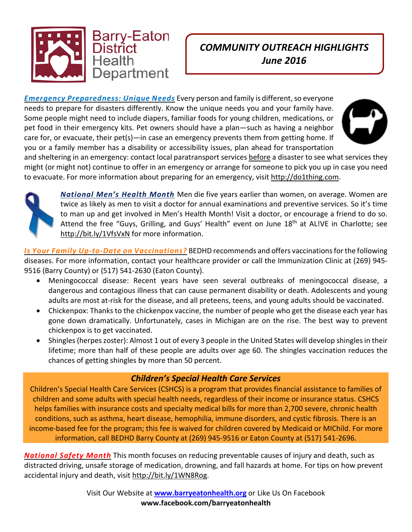

# *COMMUNITY OUTREACH HIGHLIGHTS June 2016*

*Emergency Preparedness: Unique Needs* Every person and family is different, so everyone needs to prepare for disasters differently. Know the unique needs you and your family have. Some people might need to include diapers, familiar foods for young children, medications, or pet food in their emergency kits. Pet owners should have a plan—such as having a neighbor care for, or evacuate, their pet(s)—in case an emergency prevents them from getting home. If you or a family member has a disability or accessibility issues, plan ahead for transportation



and sheltering in an emergency: contact local paratransport services before a disaster to see what services they might (or might not) continue to offer in an emergency or arrange for someone to pick you up in case you need to evacuate. For more information about preparing for an emergency, visit [http://do1thing.com.](http://do1thing.com/)



*National Men's Health Month* Men die five years earlier than women, on average. Women are twice as likely as men to visit a doctor for annual examinations and preventive services. So it's time to man up and get involved in Men's Health Month! Visit a doctor, or encourage a friend to do so. Attend the free "Guys, Grilling, and Guys' Health" event on June 18<sup>th</sup> at AL!VE in Charlotte; see <http://bit.ly/1VfsVxN> for more information.

*Is Your Family Up-to-Date on Vaccinations?* BEDHD recommends and offers vaccinationsforthe following diseases. For more information, contact your healthcare provider or call the Immunization Clinic at (269) 945- 9516 (Barry County) or (517) 541-2630 (Eaton County).

- Meningococcal disease: Recent years have seen several outbreaks of meningococcal disease, a dangerous and contagious illness that can cause permanent disability or death. Adolescents and young adults are most at-risk for the disease, and all preteens, teens, and young adults should be vaccinated.
- Chickenpox: Thanks to the chickenpox vaccine, the number of people who get the disease each year has gone down dramatically. Unfortunately, cases in Michigan are on the rise. The best way to prevent chickenpox is to get vaccinated.
- Shingles (herpes zoster): Almost 1 out of every 3 people in the United States will develop shingles in their lifetime; more than half of these people are adults over age 60. The shingles vaccination reduces the chances of getting shingles by more than 50 percent.

## *Children's Special Health Care Services*

Children's Special Health Care Services (CSHCS) is a program that provides financial assistance to families of children and some adults with special health needs, regardless of their income or insurance status. CSHCS helps families with insurance costs and specialty medical bills for more than 2,700 severe, chronic health conditions, such as asthma, heart disease, hemophilia, immune disorders, and cystic fibrosis. There is an income-based fee for the program; this fee is waived for children covered by Medicaid or MIChild. For more information, call BEDHD Barry County at (269) 945-9516 or Eaton County at (517) 541-2696.

*National Safety Month* This month focuses on reducing preventable causes of injury and death, such as distracted driving, unsafe storage of medication, drowning, and fall hazards at home. For tips on how prevent accidental injury and death, visit [http://bit.ly/1WN8Rog.](http://bit.ly/1WN8Rog)

> Visit Our Website at **[www.barryeatonhealth.org](http://www.barryeatonhealth.org/)** or Like Us On Facebook **www.facebook.com/barryeatonhealth**